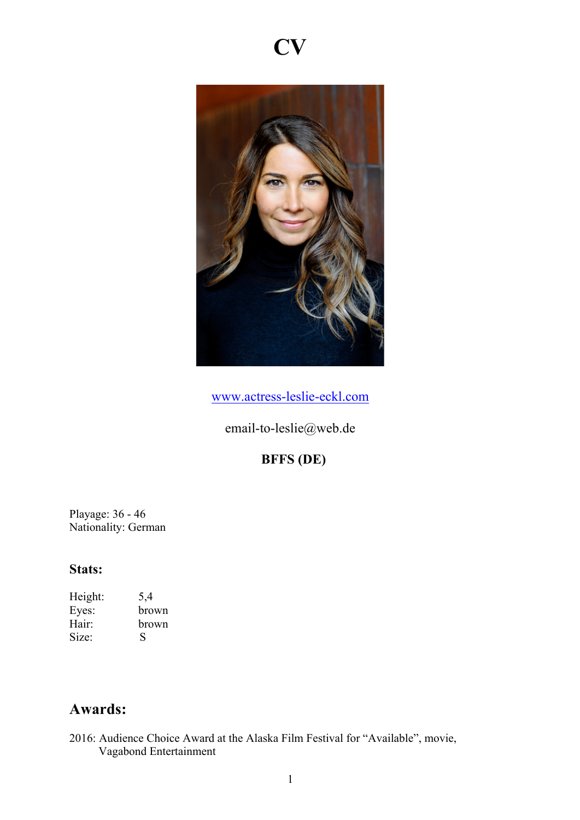



www.actress-leslie-eckl.com

email-to-leslie@web.de

# **BFFS (DE)**

Playage: 36 - 46 Nationality: German

#### **Stats:**

Height: 5,4<br>Eyes: brov Eyes: brown<br>Hair: brown brown Size: S

## **Awards:**

2016: Audience Choice Award at the Alaska Film Festival for "Available", movie, Vagabond Entertainment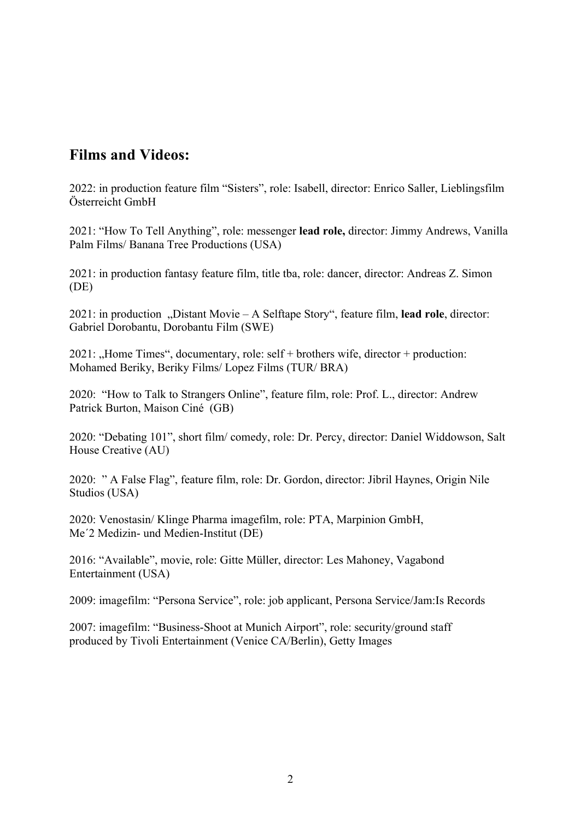### **Films and Videos:**

2022: in production feature film "Sisters", role: Isabell, director: Enrico Saller, Lieblingsfilm Österreicht GmbH

2021: "How To Tell Anything", role: messenger **lead role,** director: Jimmy Andrews, Vanilla Palm Films/ Banana Tree Productions (USA)

2021: in production fantasy feature film, title tba, role: dancer, director: Andreas Z. Simon (DE)

2021: in production "Distant Movie – A Selftape Story", feature film, lead role, director: Gabriel Dorobantu, Dorobantu Film (SWE)

 $2021$ : "Home Times", documentary, role: self + brothers wife, director + production: Mohamed Beriky, Beriky Films/ Lopez Films (TUR/ BRA)

2020: "How to Talk to Strangers Online", feature film, role: Prof. L., director: Andrew Patrick Burton, Maison Ciné (GB)

2020: "Debating 101", short film/ comedy, role: Dr. Percy, director: Daniel Widdowson, Salt House Creative (AU)

2020: " A False Flag", feature film, role: Dr. Gordon, director: Jibril Haynes, Origin Nile Studios (USA)

2020: Venostasin/ Klinge Pharma imagefilm, role: PTA, Marpinion GmbH, Me´2 Medizin- und Medien-Institut (DE)

2016: "Available", movie, role: Gitte Müller, director: Les Mahoney, Vagabond Entertainment (USA)

2009: imagefilm: "Persona Service", role: job applicant, Persona Service/Jam:Is Records

2007: imagefilm: "Business-Shoot at Munich Airport", role: security/ground staff produced by Tivoli Entertainment (Venice CA/Berlin), Getty Images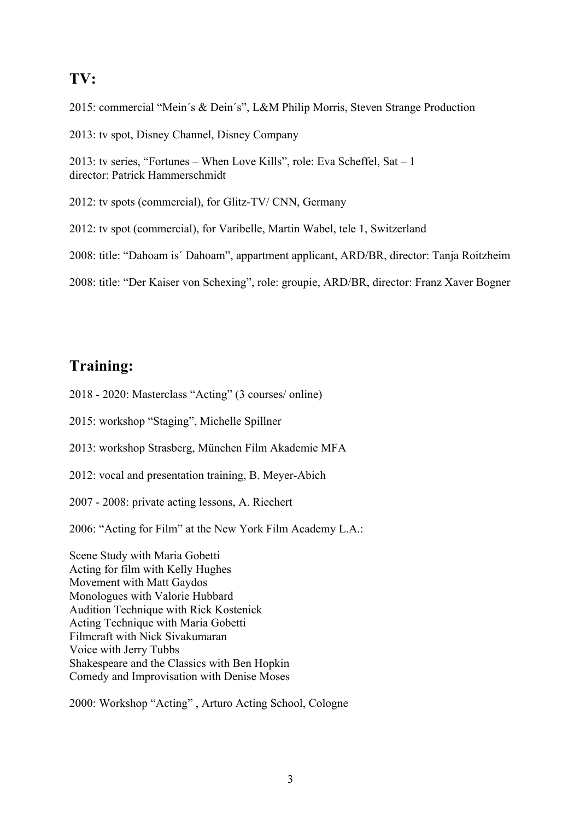### **TV:**

2015: commercial "Mein´s & Dein´s", L&M Philip Morris, Steven Strange Production 2013: tv spot, Disney Channel, Disney Company 2013: tv series, "Fortunes – When Love Kills", role: Eva Scheffel, Sat – 1 director: Patrick Hammerschmidt 2012: tv spots (commercial), for Glitz-TV/ CNN, Germany 2012: tv spot (commercial), for Varibelle, Martin Wabel, tele 1, Switzerland 2008: title: "Dahoam is´ Dahoam", appartment applicant, ARD/BR, director: Tanja Roitzheim 2008: title: "Der Kaiser von Schexing", role: groupie, ARD/BR, director: Franz Xaver Bogner

## **Training:**

2018 - 2020: Masterclass "Acting" (3 courses/ online)

2015: workshop "Staging", Michelle Spillner

2013: workshop Strasberg, München Film Akademie MFA

2012: vocal and presentation training, B. Meyer-Abich

2007 - 2008: private acting lessons, A. Riechert

2006: "Acting for Film" at the New York Film Academy L.A.:

Scene Study with Maria Gobetti Acting for film with Kelly Hughes Movement with Matt Gaydos Monologues with Valorie Hubbard Audition Technique with Rick Kostenick Acting Technique with Maria Gobetti Filmcraft with Nick Sivakumaran Voice with Jerry Tubbs Shakespeare and the Classics with Ben Hopkin Comedy and Improvisation with Denise Moses

2000: Workshop "Acting" , Arturo Acting School, Cologne